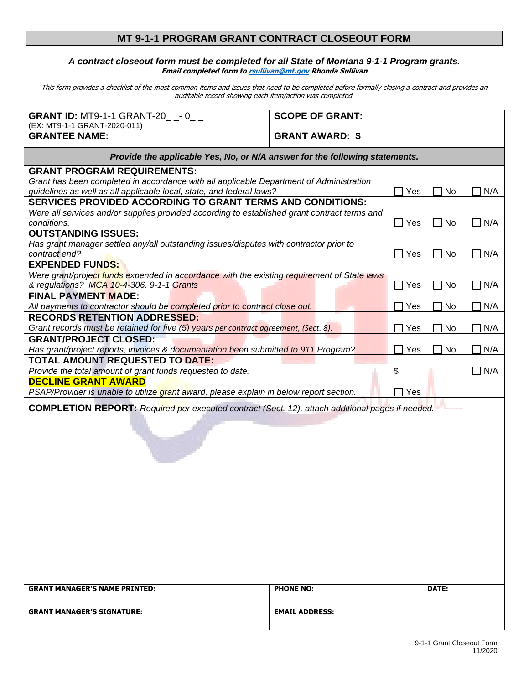## **MT 9-1-1 PROGRAM GRANT CONTRACT CLOSEOUT FORM**

## *A contract closeout form must be completed for all State of Montana 9-1-1 Program grants.* **Email completed form t[o rsullivan@mt.gov](mailto:rsullivan@mt.gov) Rhonda Sullivan**

This form provides a checklist of the most common items and issues that need to be completed before formally closing a contract and provides an auditable record showing each item/action was completed.

| <b>GRANT ID: MT9-1-1 GRANT-20_ _- 0_ _</b>                                                              | <b>SCOPE OF GRANT:</b> |                 |           |     |
|---------------------------------------------------------------------------------------------------------|------------------------|-----------------|-----------|-----|
| (EX: MT9-1-1 GRANT-2020-011)                                                                            |                        |                 |           |     |
| <b>GRANTEE NAME:</b>                                                                                    | <b>GRANT AWARD: \$</b> |                 |           |     |
| Provide the applicable Yes, No, or N/A answer for the following statements.                             |                        |                 |           |     |
| <b>GRANT PROGRAM REQUIREMENTS:</b>                                                                      |                        |                 |           |     |
| Grant has been completed in accordance with all applicable Department of Administration                 |                        |                 |           |     |
| guidelines as well as all applicable local, state, and federal laws?                                    |                        | Yes             | No        | N/A |
| <b>SERVICES PROVIDED ACCORDING TO GRANT TERMS AND CONDITIONS:</b>                                       |                        |                 |           |     |
| Were all services and/or supplies provided according to established grant contract terms and            |                        |                 |           |     |
| conditions.                                                                                             |                        | $\sqsupset$ Yes | No        | N/A |
| <b>OUTSTANDING ISSUES:</b>                                                                              |                        |                 |           |     |
| Has grant manager settled any/all outstanding issues/disputes with contractor prior to                  |                        |                 |           |     |
| contract end?                                                                                           |                        | Yes             | No        | N/A |
| <b>EXPENDED FUNDS:</b>                                                                                  |                        |                 |           |     |
| Were grant/project funds expended in accordance with the existing requirement of State laws             |                        |                 |           |     |
| & regulations? MCA 10-4-306. 9-1-1 Grants                                                               |                        | Yes             | No        | N/A |
| <b>FINAL PAYMENT MADE:</b>                                                                              |                        |                 |           |     |
| All payments to contractor should be completed prior to contract close out.                             |                        | Yes             | No        | N/A |
| <b>RECORDS RETENTION ADDRESSED:</b>                                                                     |                        |                 |           |     |
| Grant records must be retained for five (5) years per contract agreement, (Sect. 8).                    |                        | Yes             | No        | N/A |
| <b>GRANT/PROJECT CLOSED:</b>                                                                            |                        |                 |           |     |
| Has grant/project reports, invoices & documentation been submitted to 911 Program?                      |                        | Yes             | <b>No</b> | N/A |
| <b>TOTAL AMOUNT REQUESTED TO DATE:</b>                                                                  |                        |                 |           |     |
| Provide the total amount of grant funds requested to date.                                              |                        | \$              |           | N/A |
| <b>DECLINE GRANT AWARD</b>                                                                              |                        |                 |           |     |
| PSAP/Provider is unable to utilize grant award, please explain in below report section.                 |                        |                 |           |     |
| Yes                                                                                                     |                        |                 |           |     |
| <b>COMPLETION REPORT:</b> Required per executed contract (Sect. 12), attach additional pages if needed. |                        |                 |           |     |
|                                                                                                         |                        |                 |           |     |
|                                                                                                         |                        |                 |           |     |
|                                                                                                         |                        |                 |           |     |
|                                                                                                         |                        |                 |           |     |
|                                                                                                         |                        |                 |           |     |
|                                                                                                         |                        |                 |           |     |
|                                                                                                         |                        |                 |           |     |
|                                                                                                         |                        |                 |           |     |
|                                                                                                         |                        |                 |           |     |
|                                                                                                         |                        |                 |           |     |
|                                                                                                         |                        |                 |           |     |
|                                                                                                         |                        |                 |           |     |
|                                                                                                         |                        |                 |           |     |
|                                                                                                         |                        |                 |           |     |
|                                                                                                         |                        |                 |           |     |
|                                                                                                         |                        |                 |           |     |
| <b>GRANT MANAGER'S NAME PRINTED:</b>                                                                    | <b>PHONE NO:</b>       |                 | DATE:     |     |
|                                                                                                         |                        |                 |           |     |
| <b>GRANT MANAGER'S SIGNATURE:</b>                                                                       | <b>EMAIL ADDRESS:</b>  |                 |           |     |
|                                                                                                         |                        |                 |           |     |
|                                                                                                         |                        |                 |           |     |